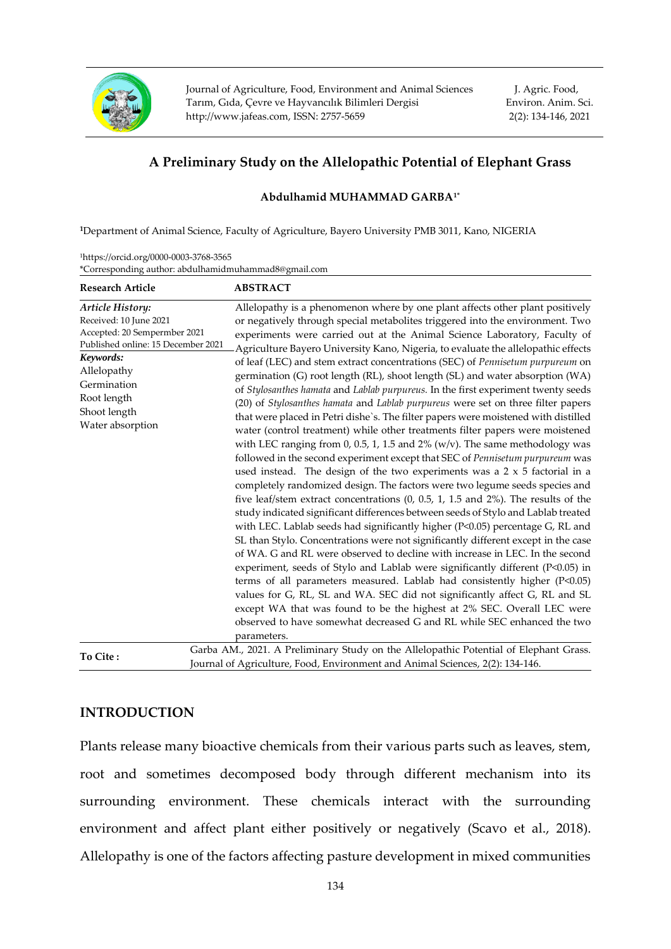

Journal of Agriculture, Food, Environment and Animal Sciences Tarım, Gıda, Çevre ve Hayvancılık Bilimleri Dergisi [http://www.jafeas.com,](http://www.jafeas.com/) ISSN[: 2757-5659](https://portal.issn.org/resource/ISSN-L/2757-5659)

J. Agric. Food, Environ. Anim. Sci. 2(2): 134-146, 2021

# **A Preliminary Study on the Allelopathic Potential of Elephant Grass**

# **Abdulhamid MUHAMMAD GARBA1\***

**<sup>1</sup>**Department of Animal Science, Faculty of Agriculture, Bayero University PMB 3011, Kano, NIGERIA

| <sup>1</sup> https://orcid.org/0000-0003-3768-3565   |
|------------------------------------------------------|
| *Corresponding author: abdulhamidmuhammad8@gmail.com |

| <b>Research Article</b>                                                                                                                                                                                        | <b>ABSTRACT</b>                                                                                                                                                                                                                                                                                                                                                                                                                                                                                                                                                                                                                                                                                                                                                                                                                                                                                                                                                                                                                                                                                                                                                                                                                                                                                                                                                                                                                                                                                                                                                                                                                                                                                                                                                                                                                                                                                                                                                                                                                                                    |
|----------------------------------------------------------------------------------------------------------------------------------------------------------------------------------------------------------------|--------------------------------------------------------------------------------------------------------------------------------------------------------------------------------------------------------------------------------------------------------------------------------------------------------------------------------------------------------------------------------------------------------------------------------------------------------------------------------------------------------------------------------------------------------------------------------------------------------------------------------------------------------------------------------------------------------------------------------------------------------------------------------------------------------------------------------------------------------------------------------------------------------------------------------------------------------------------------------------------------------------------------------------------------------------------------------------------------------------------------------------------------------------------------------------------------------------------------------------------------------------------------------------------------------------------------------------------------------------------------------------------------------------------------------------------------------------------------------------------------------------------------------------------------------------------------------------------------------------------------------------------------------------------------------------------------------------------------------------------------------------------------------------------------------------------------------------------------------------------------------------------------------------------------------------------------------------------------------------------------------------------------------------------------------------------|
| Article History:<br>Received: 10 June 2021<br>Accepted: 20 Sempermber 2021<br>Published online: 15 December 2021<br>Keywords:<br>Allelopathy<br>Germination<br>Root length<br>Shoot length<br>Water absorption | Allelopathy is a phenomenon where by one plant affects other plant positively<br>or negatively through special metabolites triggered into the environment. Two<br>experiments were carried out at the Animal Science Laboratory, Faculty of<br>Agriculture Bayero University Kano, Nigeria, to evaluate the allelopathic effects<br>of leaf (LEC) and stem extract concentrations (SEC) of Pennisetum purpureum on<br>germination (G) root length (RL), shoot length (SL) and water absorption (WA)<br>of Stylosanthes hamata and Lablab purpureus. In the first experiment twenty seeds<br>(20) of Stylosanthes hamata and Lablab purpureus were set on three filter papers<br>that were placed in Petri dishe's. The filter papers were moistened with distilled<br>water (control treatment) while other treatments filter papers were moistened<br>with LEC ranging from $0$ , $0.5$ , $1$ , $1.5$ and $2\%$ (w/v). The same methodology was<br>followed in the second experiment except that SEC of Pennisetum purpureum was<br>used instead. The design of the two experiments was a $2 \times 5$ factorial in a<br>completely randomized design. The factors were two legume seeds species and<br>five leaf/stem extract concentrations $(0, 0.5, 1, 1.5, 1.5)$ and $2\%)$ . The results of the<br>study indicated significant differences between seeds of Stylo and Lablab treated<br>with LEC. Lablab seeds had significantly higher (P<0.05) percentage G, RL and<br>SL than Stylo. Concentrations were not significantly different except in the case<br>of WA. G and RL were observed to decline with increase in LEC. In the second<br>experiment, seeds of Stylo and Lablab were significantly different (P<0.05) in<br>terms of all parameters measured. Lablab had consistently higher (P<0.05)<br>values for G, RL, SL and WA. SEC did not significantly affect G, RL and SL<br>except WA that was found to be the highest at 2% SEC. Overall LEC were<br>observed to have somewhat decreased G and RL while SEC enhanced the two<br>parameters. |
| To Cite:                                                                                                                                                                                                       | Garba AM., 2021. A Preliminary Study on the Allelopathic Potential of Elephant Grass.<br>Journal of Agriculture, Food, Environment and Animal Sciences, 2(2): 134-146.                                                                                                                                                                                                                                                                                                                                                                                                                                                                                                                                                                                                                                                                                                                                                                                                                                                                                                                                                                                                                                                                                                                                                                                                                                                                                                                                                                                                                                                                                                                                                                                                                                                                                                                                                                                                                                                                                             |

# **INTRODUCTION**

Plants release many bioactive chemicals from their various parts such as leaves, stem, root and sometimes decomposed body through different mechanism into its surrounding environment. These chemicals interact with the surrounding environment and affect plant either positively or negatively (Scavo et al., 2018). Allelopathy is one of the factors affecting pasture development in mixed communities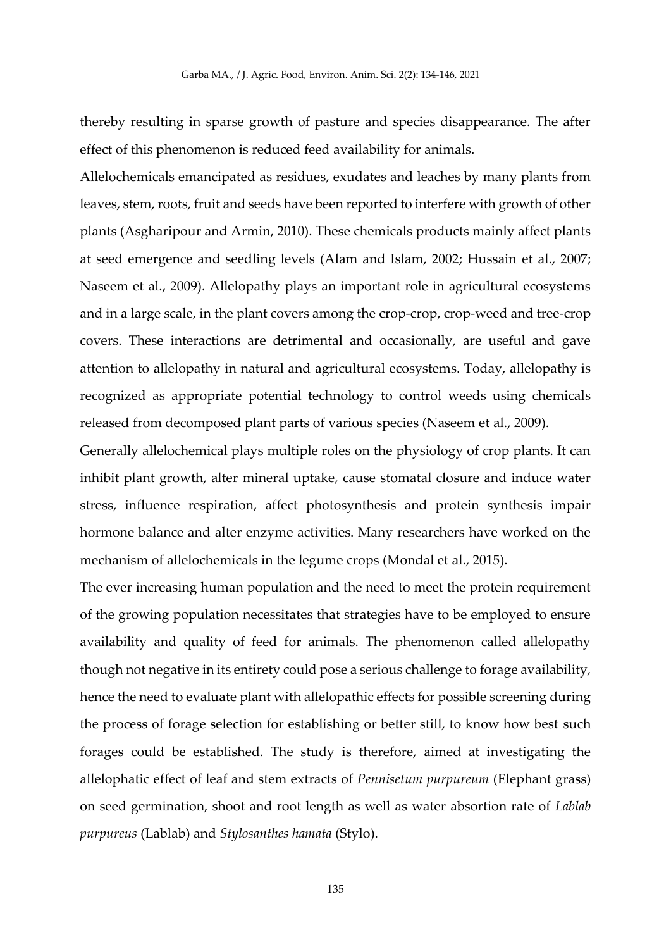thereby resulting in sparse growth of pasture and species disappearance. The after effect of this phenomenon is reduced feed availability for animals.

Allelochemicals emancipated as residues, exudates and leaches by many plants from leaves, stem, roots, fruit and seeds have been reported to interfere with growth of other plants (Asgharipour and Armin, 2010). These chemicals products mainly affect plants at seed emergence and seedling levels (Alam and Islam, 2002; Hussain et al., 2007; Naseem et al., 2009). Allelopathy plays an important role in agricultural ecosystems and in a large scale, in the plant covers among the crop-crop, crop-weed and tree-crop covers. These interactions are detrimental and occasionally, are useful and gave attention to allelopathy in natural and agricultural ecosystems. Today, allelopathy is recognized as appropriate potential technology to control weeds using chemicals released from decomposed plant parts of various species (Naseem et al., 2009).

Generally allelochemical plays multiple roles on the physiology of crop plants. It can inhibit plant growth, alter mineral uptake, cause stomatal closure and induce water stress, influence respiration, affect photosynthesis and protein synthesis impair hormone balance and alter enzyme activities. Many researchers have worked on the mechanism of allelochemicals in the legume crops (Mondal et al., 2015).

The ever increasing human population and the need to meet the protein requirement of the growing population necessitates that strategies have to be employed to ensure availability and quality of feed for animals. The phenomenon called allelopathy though not negative in its entirety could pose a serious challenge to forage availability, hence the need to evaluate plant with allelopathic effects for possible screening during the process of forage selection for establishing or better still, to know how best such forages could be established. The study is therefore, aimed at investigating the allelophatic effect of leaf and stem extracts of *Pennisetum purpureum* (Elephant grass) on seed germination, shoot and root length as well as water absortion rate of *Lablab purpureus* (Lablab) and *Stylosanthes hamata* (Stylo).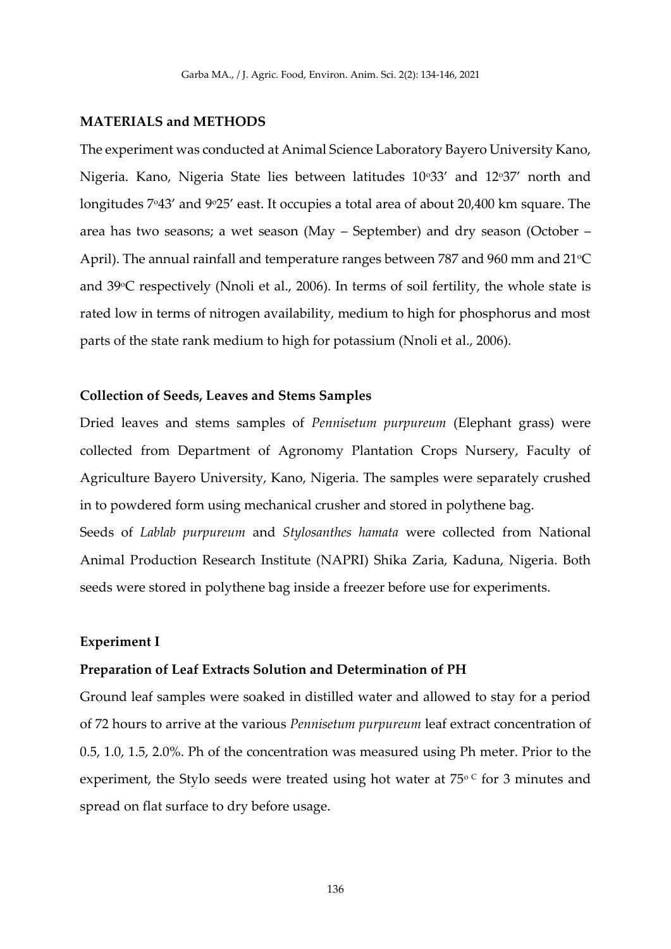#### **MATERIALS and METHODS**

The experiment was conducted at Animal Science Laboratory Bayero University Kano, Nigeria. Kano, Nigeria State lies between latitudes 10°33' and 12°37' north and longitudes 7°43' and 9°25' east. It occupies a total area of about 20,400 km square. The area has two seasons; a wet season (May – September) and dry season (October – April). The annual rainfall and temperature ranges between 787 and 960 mm and  $21^{\circ}C$ and 39°C respectively (Nnoli et al., 2006). In terms of soil fertility, the whole state is rated low in terms of nitrogen availability, medium to high for phosphorus and most parts of the state rank medium to high for potassium (Nnoli et al., 2006).

### **Collection of Seeds, Leaves and Stems Samples**

Dried leaves and stems samples of *Pennisetum purpureum* (Elephant grass) were collected from Department of Agronomy Plantation Crops Nursery, Faculty of Agriculture Bayero University, Kano, Nigeria. The samples were separately crushed in to powdered form using mechanical crusher and stored in polythene bag.

Seeds of *Lablab purpureum* and *Stylosanthes hamata* were collected from National Animal Production Research Institute (NAPRI) Shika Zaria, Kaduna, Nigeria. Both seeds were stored in polythene bag inside a freezer before use for experiments.

#### **Experiment I**

### **Preparation of Leaf Extracts Solution and Determination of PH**

Ground leaf samples were soaked in distilled water and allowed to stay for a period of 72 hours to arrive at the various *Pennisetum purpureum* leaf extract concentration of 0.5, 1.0, 1.5, 2.0%. Ph of the concentration was measured using Ph meter. Prior to the experiment, the Stylo seeds were treated using hot water at  $75^{\circ}$  for 3 minutes and spread on flat surface to dry before usage.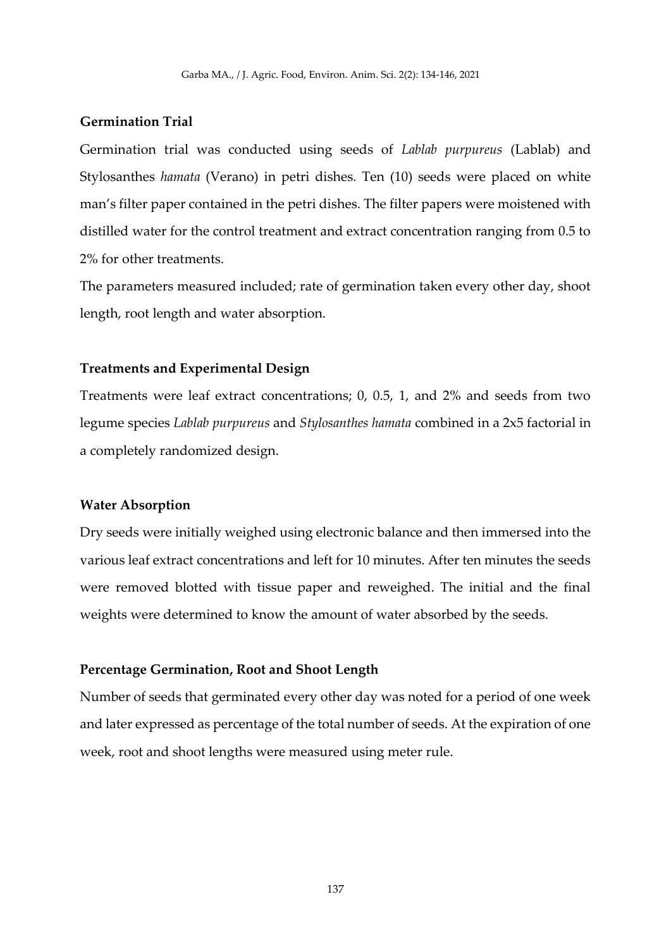# **Germination Trial**

Germination trial was conducted using seeds of *Lablab purpureus* (Lablab) and Stylosanthes *hamata* (Verano) in petri dishes. Ten (10) seeds were placed on white man's filter paper contained in the petri dishes. The filter papers were moistened with distilled water for the control treatment and extract concentration ranging from 0.5 to 2% for other treatments.

The parameters measured included; rate of germination taken every other day, shoot length, root length and water absorption.

# **Treatments and Experimental Design**

Treatments were leaf extract concentrations; 0, 0.5, 1, and 2% and seeds from two legume species *Lablab purpureus* and *Stylosanthes hamata* combined in a 2x5 factorial in a completely randomized design.

### **Water Absorption**

Dry seeds were initially weighed using electronic balance and then immersed into the various leaf extract concentrations and left for 10 minutes. After ten minutes the seeds were removed blotted with tissue paper and reweighed. The initial and the final weights were determined to know the amount of water absorbed by the seeds.

### **Percentage Germination, Root and Shoot Length**

Number of seeds that germinated every other day was noted for a period of one week and later expressed as percentage of the total number of seeds. At the expiration of one week, root and shoot lengths were measured using meter rule.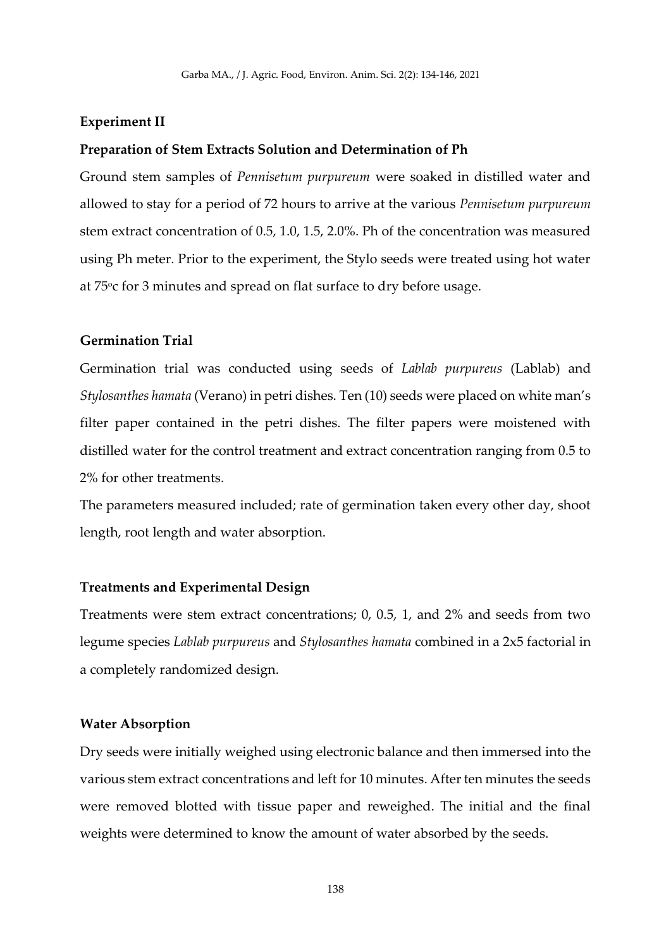## **Experiment II**

### **Preparation of Stem Extracts Solution and Determination of Ph**

Ground stem samples of *Pennisetum purpureum* were soaked in distilled water and allowed to stay for a period of 72 hours to arrive at the various *Pennisetum purpureum* stem extract concentration of 0.5, 1.0, 1.5, 2.0%. Ph of the concentration was measured using Ph meter. Prior to the experiment, the Stylo seeds were treated using hot water at 75oc for 3 minutes and spread on flat surface to dry before usage.

# **Germination Trial**

Germination trial was conducted using seeds of *Lablab purpureus* (Lablab) and *Stylosanthes hamata* (Verano) in petri dishes. Ten (10) seeds were placed on white man's filter paper contained in the petri dishes. The filter papers were moistened with distilled water for the control treatment and extract concentration ranging from 0.5 to 2% for other treatments.

The parameters measured included; rate of germination taken every other day, shoot length, root length and water absorption.

### **Treatments and Experimental Design**

Treatments were stem extract concentrations; 0, 0.5, 1, and 2% and seeds from two legume species *Lablab purpureus* and *Stylosanthes hamata* combined in a 2x5 factorial in a completely randomized design.

#### **Water Absorption**

Dry seeds were initially weighed using electronic balance and then immersed into the various stem extract concentrations and left for 10 minutes. After ten minutes the seeds were removed blotted with tissue paper and reweighed. The initial and the final weights were determined to know the amount of water absorbed by the seeds.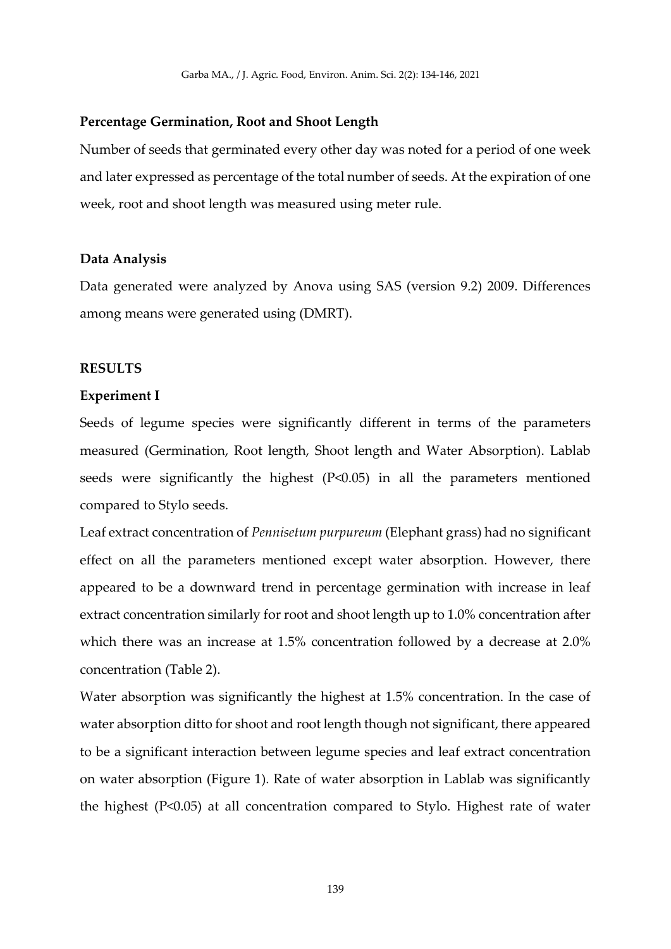### **Percentage Germination, Root and Shoot Length**

Number of seeds that germinated every other day was noted for a period of one week and later expressed as percentage of the total number of seeds. At the expiration of one week, root and shoot length was measured using meter rule.

## **Data Analysis**

Data generated were analyzed by Anova using SAS (version 9.2) 2009. Differences among means were generated using (DMRT).

# **RESULTS**

### **Experiment I**

Seeds of legume species were significantly different in terms of the parameters measured (Germination, Root length, Shoot length and Water Absorption). Lablab seeds were significantly the highest (P<0.05) in all the parameters mentioned compared to Stylo seeds.

Leaf extract concentration of *Pennisetum purpureum* (Elephant grass) had no significant effect on all the parameters mentioned except water absorption. However, there appeared to be a downward trend in percentage germination with increase in leaf extract concentration similarly for root and shoot length up to 1.0% concentration after which there was an increase at 1.5% concentration followed by a decrease at 2.0% concentration (Table 2).

Water absorption was significantly the highest at 1.5% concentration. In the case of water absorption ditto for shoot and root length though not significant, there appeared to be a significant interaction between legume species and leaf extract concentration on water absorption (Figure 1). Rate of water absorption in Lablab was significantly the highest (P<0.05) at all concentration compared to Stylo. Highest rate of water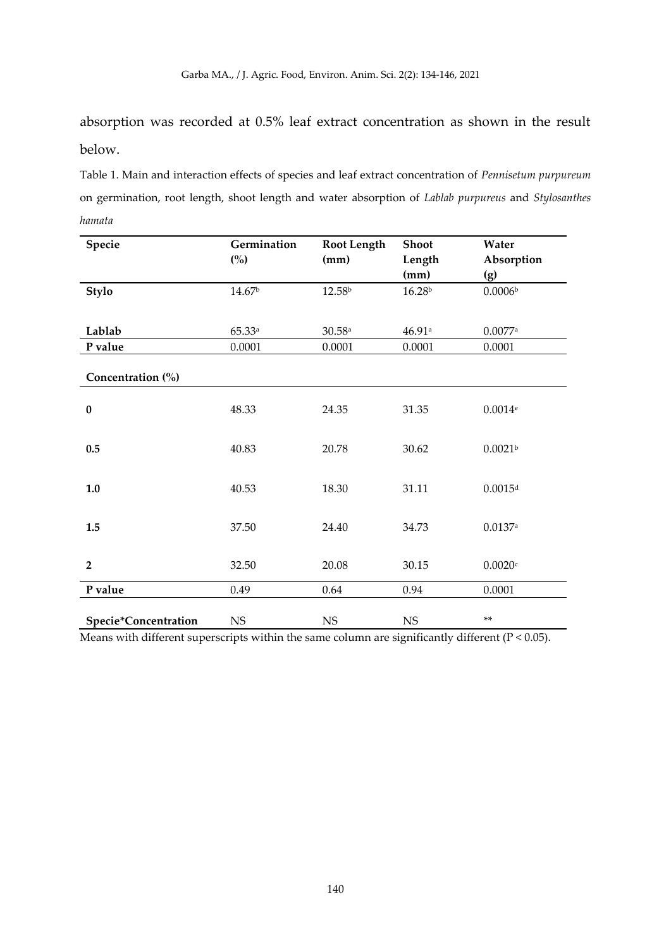absorption was recorded at 0.5% leaf extract concentration as shown in the result below.

Table 1. Main and interaction effects of species and leaf extract concentration of *Pennisetum purpureum* on germination, root length, shoot length and water absorption of *Lablab purpureus* and *Stylosanthes hamata*

| Specie               | Germination        | <b>Root Length</b> | Shoot              | Water                 |
|----------------------|--------------------|--------------------|--------------------|-----------------------|
|                      | (%)                | (mm)               | Length             | Absorption            |
|                      |                    |                    | (mm)               | (g)                   |
| Stylo                | 14.67 <sup>b</sup> | 12.58 <sup>b</sup> | 16.28 <sup>b</sup> | $0.0006b$             |
|                      |                    |                    |                    |                       |
| Lablab               | 65.33a             | 30.58a             | 46.91a             | $0.0077$ $^{\rm a}$   |
| P value              | 0.0001             | 0.0001             | 0.0001             | 0.0001                |
|                      |                    |                    |                    |                       |
| Concentration (%)    |                    |                    |                    |                       |
|                      |                    |                    |                    |                       |
| $\bf{0}$             | 48.33              | 24.35              | 31.35              | $0.0014$ <sup>e</sup> |
|                      |                    |                    |                    |                       |
| 0.5                  | 40.83              | 20.78              | 30.62              | 0.0021 <sup>b</sup>   |
|                      |                    |                    |                    |                       |
| $1.0\,$              | 40.53              | 18.30              | 31.11              | 0.0015 <sup>d</sup>   |
|                      |                    |                    |                    |                       |
|                      |                    |                    |                    |                       |
| 1.5                  | 37.50              | 24.40              | 34.73              | $0.0137$ <sup>a</sup> |
|                      |                    |                    |                    |                       |
| $\overline{2}$       | 32.50              | 20.08              | 30.15              | 0.0020c               |
|                      |                    |                    |                    |                       |
| P value              | 0.49               | 0.64               | 0.94               | 0.0001                |
| Specie*Concentration | $_{\rm NS}$        | $_{\rm NS}$        | $_{\rm NS}$        | **                    |
|                      |                    |                    |                    |                       |

Means with different superscripts within the same column are significantly different (P < 0.05).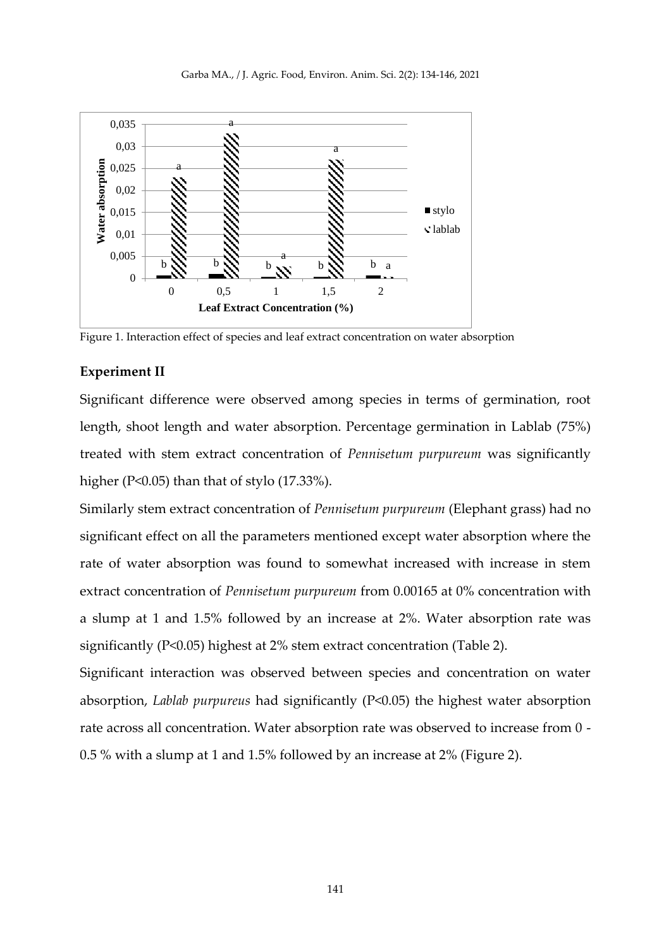

Figure 1. Interaction effect of species and leaf extract concentration on water absorption

# **Experiment II**

Significant difference were observed among species in terms of germination, root length, shoot length and water absorption. Percentage germination in Lablab (75%) treated with stem extract concentration of *Pennisetum purpureum* was significantly higher (P<0.05) than that of stylo (17.33%).

Similarly stem extract concentration of *Pennisetum purpureum* (Elephant grass) had no significant effect on all the parameters mentioned except water absorption where the rate of water absorption was found to somewhat increased with increase in stem extract concentration of *Pennisetum purpureum* from 0.00165 at 0% concentration with a slump at 1 and 1.5% followed by an increase at 2%. Water absorption rate was significantly (P<0.05) highest at 2% stem extract concentration (Table 2).

Significant interaction was observed between species and concentration on water absorption, *Lablab purpureus* had significantly (P<0.05) the highest water absorption rate across all concentration. Water absorption rate was observed to increase from 0 - 0.5 % with a slump at 1 and 1.5% followed by an increase at 2% (Figure 2).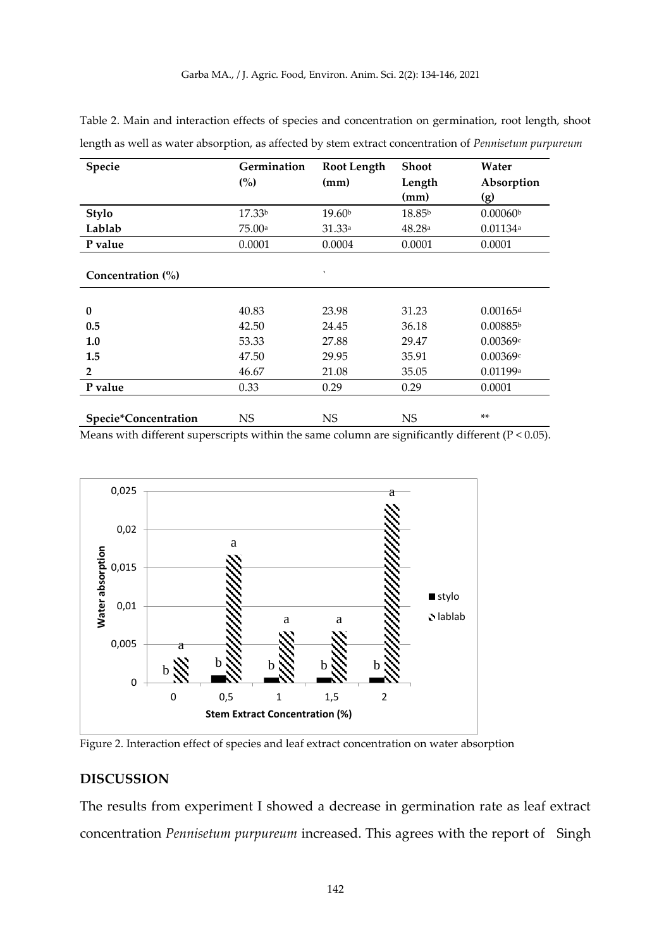| Specie                | Germination        | <b>Root Length</b>     | <b>Shoot</b>       | Water                  |
|-----------------------|--------------------|------------------------|--------------------|------------------------|
|                       | (%)                | (mm)                   | Length             | Absorption             |
|                       |                    |                        | (mm)               | (g)                    |
| Stylo                 | 17.33 <sup>b</sup> | 19.60 <sup>b</sup>     | 18.85 <sup>b</sup> | 0.00060 <sup>b</sup>   |
| Lablab                | 75.00a             | 31.33a                 | 48.28a             | $0.01134$ <sup>a</sup> |
| P value               | 0.0001             | 0.0004                 | 0.0001             | 0.0001                 |
|                       |                    |                        |                    |                        |
| Concentration $(\% )$ |                    | $\boldsymbol{\lambda}$ |                    |                        |
|                       |                    |                        |                    |                        |
| $\bf{0}$              | 40.83              | 23.98                  | 31.23              | $0.00165$ <sup>d</sup> |
| 0.5                   | 42.50              | 24.45                  | 36.18              | 0.00885 <sup>b</sup>   |
| 1.0                   | 53.33              | 27.88                  | 29.47              | 0.00369c               |
| 1.5                   | 47.50              | 29.95                  | 35.91              | 0.00369c               |
| $\overline{2}$        | 46.67              | 21.08                  | 35.05              | 0.01199a               |
| P value               | 0.33               | 0.29                   | 0.29               | 0.0001                 |
|                       |                    |                        |                    |                        |
| Specie*Concentration  | <b>NS</b>          | <b>NS</b>              | <b>NS</b>          | $***$                  |

Table 2. Main and interaction effects of species and concentration on germination, root length, shoot length as well as water absorption, as affected by stem extract concentration of *Pennisetum purpureum*

Means with different superscripts within the same column are significantly different (P < 0.05).



Figure 2. Interaction effect of species and leaf extract concentration on water absorption

# **DISCUSSION**

The results from experiment I showed a decrease in germination rate as leaf extract concentration *Pennisetum purpureum* increased. This agrees with the report of Singh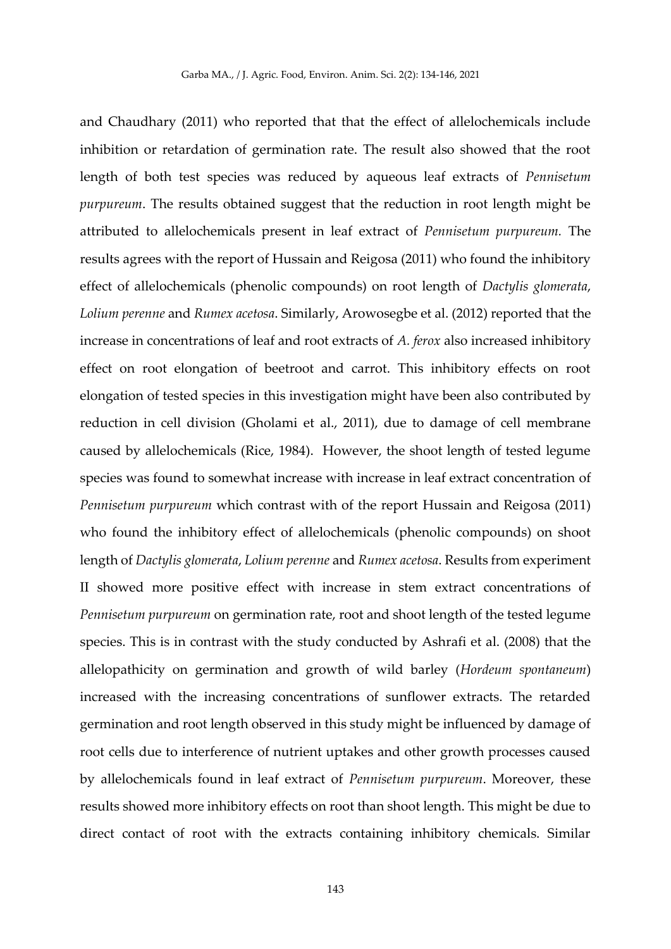and Chaudhary (2011) who reported that that the effect of allelochemicals include inhibition or retardation of germination rate. The result also showed that the root length of both test species was reduced by aqueous leaf extracts of *Pennisetum purpureum*. The results obtained suggest that the reduction in root length might be attributed to allelochemicals present in leaf extract of *Pennisetum purpureum.* The results agrees with the report of Hussain and Reigosa (2011) who found the inhibitory effect of allelochemicals (phenolic compounds) on root length of *Dactylis glomerata*, *Lolium perenne* and *Rumex acetosa*. Similarly, Arowosegbe et al. (2012) reported that the increase in concentrations of leaf and root extracts of *A. ferox* also increased inhibitory effect on root elongation of beetroot and carrot. This inhibitory effects on root elongation of tested species in this investigation might have been also contributed by reduction in cell division (Gholami et al., 2011), due to damage of cell membrane caused by allelochemicals (Rice, 1984). However, the shoot length of tested legume species was found to somewhat increase with increase in leaf extract concentration of *Pennisetum purpureum* which contrast with of the report Hussain and Reigosa (2011) who found the inhibitory effect of allelochemicals (phenolic compounds) on shoot length of *Dactylis glomerata*, *Lolium perenne* and *Rumex acetosa*. Results from experiment II showed more positive effect with increase in stem extract concentrations of *Pennisetum purpureum* on germination rate, root and shoot length of the tested legume species. This is in contrast with the study conducted by Ashrafi et al. (2008) that the allelopathicity on germination and growth of wild barley (*Hordeum spontaneum*) increased with the increasing concentrations of sunflower extracts. The retarded germination and root length observed in this study might be influenced by damage of root cells due to interference of nutrient uptakes and other growth processes caused by allelochemicals found in leaf extract of *Pennisetum purpureum*. Moreover, these results showed more inhibitory effects on root than shoot length. This might be due to direct contact of root with the extracts containing inhibitory chemicals. Similar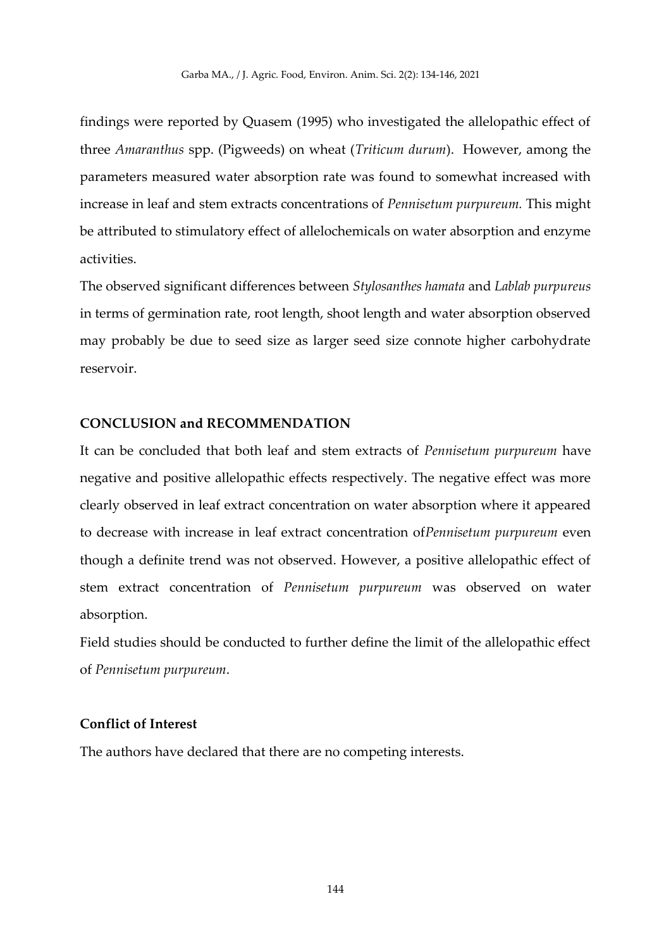findings were reported by Quasem (1995) who investigated the allelopathic effect of three *Amaranthus* spp. (Pigweeds) on wheat (*Triticum durum*). However, among the parameters measured water absorption rate was found to somewhat increased with increase in leaf and stem extracts concentrations of *Pennisetum purpureum.* This might be attributed to stimulatory effect of allelochemicals on water absorption and enzyme activities.

The observed significant differences between *Stylosanthes hamata* and *Lablab purpureus* in terms of germination rate, root length, shoot length and water absorption observed may probably be due to seed size as larger seed size connote higher carbohydrate reservoir.

### **CONCLUSION and RECOMMENDATION**

It can be concluded that both leaf and stem extracts of *Pennisetum purpureum* have negative and positive allelopathic effects respectively. The negative effect was more clearly observed in leaf extract concentration on water absorption where it appeared to decrease with increase in leaf extract concentration of*Pennisetum purpureum* even though a definite trend was not observed. However, a positive allelopathic effect of stem extract concentration of *Pennisetum purpureum* was observed on water absorption.

Field studies should be conducted to further define the limit of the allelopathic effect of *Pennisetum purpureum*.

# **Conflict of Interest**

The authors have declared that there are no competing interests.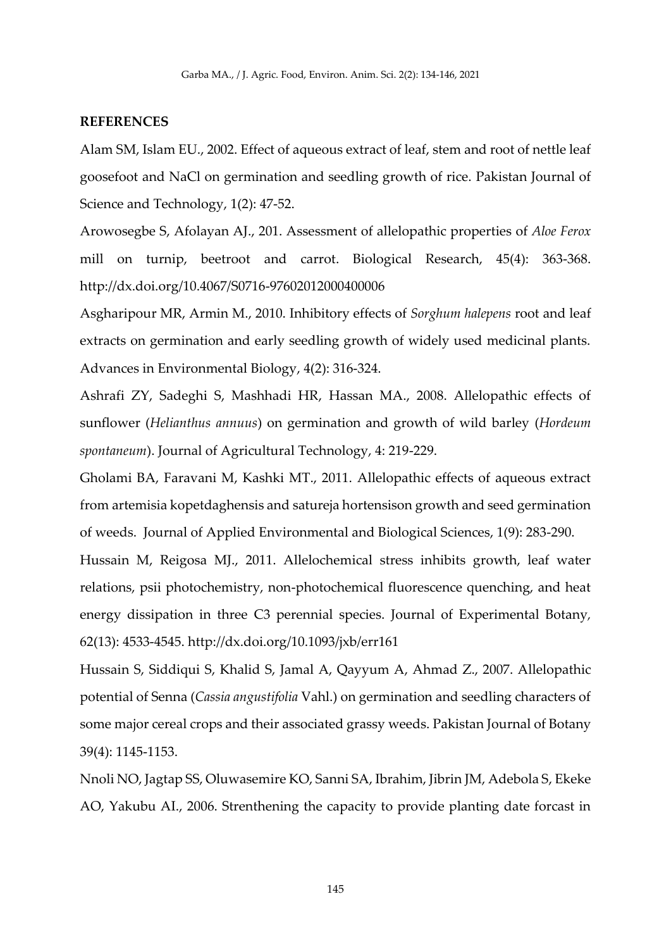### **REFERENCES**

Alam SM, Islam EU., 2002. Effect of aqueous extract of leaf, stem and root of nettle leaf goosefoot and NaCl on germination and seedling growth of rice. Pakistan Journal of Science and Technology, 1(2): 47-52.

Arowosegbe S, Afolayan AJ., 201. Assessment of allelopathic properties of *Aloe Ferox*  mill on turnip, beetroot and carrot. Biological Research, 45(4): 363-368. <http://dx.doi.org/10.4067/S0716-97602012000400006>

Asgharipour MR, Armin M., 2010. Inhibitory effects of *Sorghum halepens* root and leaf extracts on germination and early seedling growth of widely used medicinal plants. Advances in Environmental Biology, 4(2): 316-324.

Ashrafi ZY, Sadeghi S, Mashhadi HR, Hassan MA., 2008. Allelopathic effects of sunflower (*Helianthus annuus*) on germination and growth of wild barley (*Hordeum spontaneum*). Journal of Agricultural Technology, 4: 219-229.

Gholami BA, Faravani M, Kashki MT., 2011. Allelopathic effects of aqueous extract from artemisia kopetdaghensis and satureja hortensison growth and seed germination of weeds. Journal of Applied Environmental and Biological Sciences, 1(9): 283-290.

Hussain M, Reigosa MJ., 2011. Allelochemical stress inhibits growth, leaf water relations, psii photochemistry, non-photochemical fluorescence quenching, and heat energy dissipation in three C3 perennial species. Journal of Experimental Botany*,* 62(13): 4533-4545.<http://dx.doi.org/10.1093/jxb/err161>

Hussain S, Siddiqui S, Khalid S, Jamal A, Qayyum A, Ahmad Z., 2007. Allelopathic potential of Senna (*Cassia angustifolia* Vahl.) on germination and seedling characters of some major cereal crops and their associated grassy weeds. Pakistan Journal of Botany 39(4): 1145-1153.

Nnoli NO, Jagtap SS, Oluwasemire KO, Sanni SA, Ibrahim, Jibrin JM, Adebola S, Ekeke AO, Yakubu AI., 2006. Strenthening the capacity to provide planting date forcast in

145